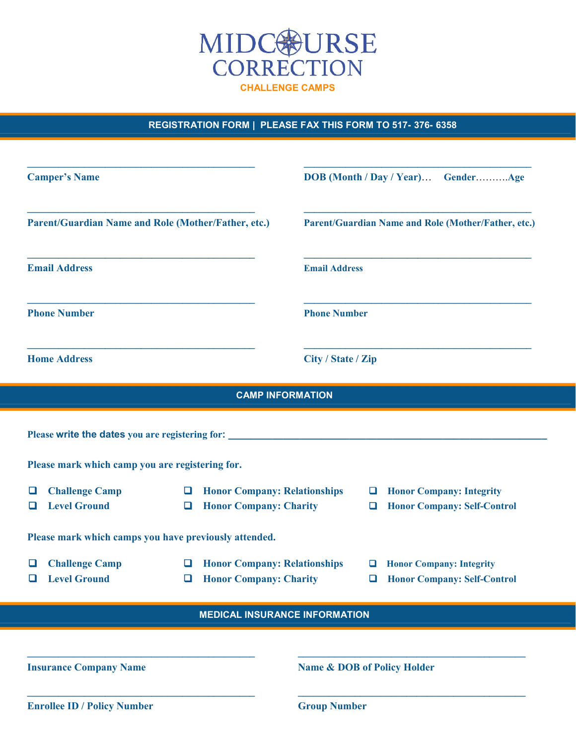

REGISTRATION FORM | PLEASE FAX THIS FORM TO 517-376-6358

| <b>Camper's Name</b><br>Parent/Guardian Name and Role (Mother/Father, etc.)<br><b>Email Address</b><br><b>Phone Number</b> |                                                                                          | DOB (Month / Day / Year) GenderAge<br>Parent/Guardian Name and Role (Mother/Father, etc.)<br><b>Email Address</b><br><b>Phone Number</b> |             |                                                                         |                                                                                                                                      |                         |                    |  |  |
|----------------------------------------------------------------------------------------------------------------------------|------------------------------------------------------------------------------------------|------------------------------------------------------------------------------------------------------------------------------------------|-------------|-------------------------------------------------------------------------|--------------------------------------------------------------------------------------------------------------------------------------|-------------------------|--------------------|--|--|
|                                                                                                                            |                                                                                          |                                                                                                                                          |             |                                                                         | <b>Home Address</b>                                                                                                                  |                         | City / State / Zip |  |  |
|                                                                                                                            |                                                                                          |                                                                                                                                          |             |                                                                         |                                                                                                                                      | <b>CAMP INFORMATION</b> |                    |  |  |
|                                                                                                                            |                                                                                          |                                                                                                                                          |             |                                                                         | Please write the dates you are registering for: _________________________________<br>Please mark which camp you are registering for. |                         |                    |  |  |
| <b>Challenge Camp</b><br>ப<br><b>Level Ground</b><br>□                                                                     | <b>Honor Company: Relationships</b><br>$\Box$<br><b>Honor Company: Charity</b><br>$\Box$ |                                                                                                                                          | □<br>$\Box$ | <b>Honor Company: Integrity</b><br><b>Honor Company: Self-Control</b>   |                                                                                                                                      |                         |                    |  |  |
| Please mark which camps you have previously attended.                                                                      |                                                                                          |                                                                                                                                          |             |                                                                         |                                                                                                                                      |                         |                    |  |  |
| <b>Challenge Camp</b><br>$\Box$<br><b>Level Ground</b><br>□                                                                | <b>Honor Company: Relationships</b><br>□<br><b>Honor Company: Charity</b><br>O           |                                                                                                                                          | o           | <b>Q</b> Honor Company: Integrity<br><b>Honor Company: Self-Control</b> |                                                                                                                                      |                         |                    |  |  |
|                                                                                                                            | <b>MEDICAL INSURANCE INFORMATION</b>                                                     |                                                                                                                                          |             |                                                                         |                                                                                                                                      |                         |                    |  |  |
|                                                                                                                            |                                                                                          |                                                                                                                                          |             |                                                                         |                                                                                                                                      |                         |                    |  |  |
| <b>Insurance Company Name</b>                                                                                              |                                                                                          | <b>Name &amp; DOB of Policy Holder</b>                                                                                                   |             |                                                                         |                                                                                                                                      |                         |                    |  |  |
| <b>Enrollee ID / Policy Number</b>                                                                                         |                                                                                          | <b>Group Number</b>                                                                                                                      |             |                                                                         |                                                                                                                                      |                         |                    |  |  |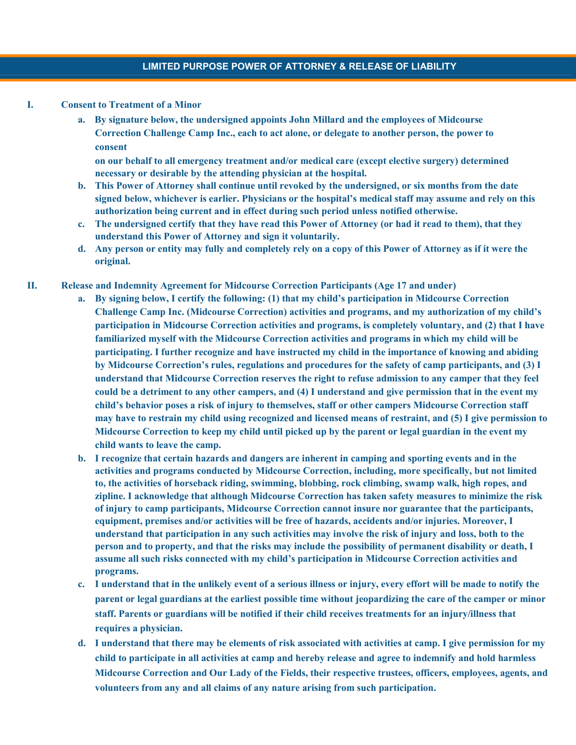#### I. Consent to Treatment of a Minor

a. By signature below, the undersigned appoints John Millard and the employees of Midcourse Correction Challenge Camp Inc., each to act alone, or delegate to another person, the power to consent

on our behalf to all emergency treatment and/or medical care (except elective surgery) determined necessary or desirable by the attending physician at the hospital.

- b. This Power of Attorney shall continue until revoked by the undersigned, or six months from the date signed below, whichever is earlier. Physicians or the hospital's medical staff may assume and rely on this authorization being current and in effect during such period unless notified otherwise.
- c. The undersigned certify that they have read this Power of Attorney (or had it read to them), that they understand this Power of Attorney and sign it voluntarily.
- d. Any person or entity may fully and completely rely on a copy of this Power of Attorney as if it were the original.
- II. Release and Indemnity Agreement for Midcourse Correction Participants (Age 17 and under)
	- a. By signing below, I certify the following: (1) that my child's participation in Midcourse Correction Challenge Camp Inc. (Midcourse Correction) activities and programs, and my authorization of my child's participation in Midcourse Correction activities and programs, is completely voluntary, and (2) that I have familiarized myself with the Midcourse Correction activities and programs in which my child will be participating. I further recognize and have instructed my child in the importance of knowing and abiding by Midcourse Correction's rules, regulations and procedures for the safety of camp participants, and (3) I understand that Midcourse Correction reserves the right to refuse admission to any camper that they feel could be a detriment to any other campers, and (4) I understand and give permission that in the event my child's behavior poses a risk of injury to themselves, staff or other campers Midcourse Correction staff may have to restrain my child using recognized and licensed means of restraint, and (5) I give permission to Midcourse Correction to keep my child until picked up by the parent or legal guardian in the event my child wants to leave the camp.
	- b. I recognize that certain hazards and dangers are inherent in camping and sporting events and in the activities and programs conducted by Midcourse Correction, including, more specifically, but not limited to, the activities of horseback riding, swimming, blobbing, rock climbing, swamp walk, high ropes, and zipline. I acknowledge that although Midcourse Correction has taken safety measures to minimize the risk of injury to camp participants, Midcourse Correction cannot insure nor guarantee that the participants, equipment, premises and/or activities will be free of hazards, accidents and/or injuries. Moreover, I understand that participation in any such activities may involve the risk of injury and loss, both to the person and to property, and that the risks may include the possibility of permanent disability or death, I assume all such risks connected with my child's participation in Midcourse Correction activities and programs.
	- c. I understand that in the unlikely event of a serious illness or injury, every effort will be made to notify the parent or legal guardians at the earliest possible time without jeopardizing the care of the camper or minor staff. Parents or guardians will be notified if their child receives treatments for an injury/illness that requires a physician.
	- d. I understand that there may be elements of risk associated with activities at camp. I give permission for my child to participate in all activities at camp and hereby release and agree to indemnify and hold harmless Midcourse Correction and Our Lady of the Fields, their respective trustees, officers, employees, agents, and volunteers from any and all claims of any nature arising from such participation.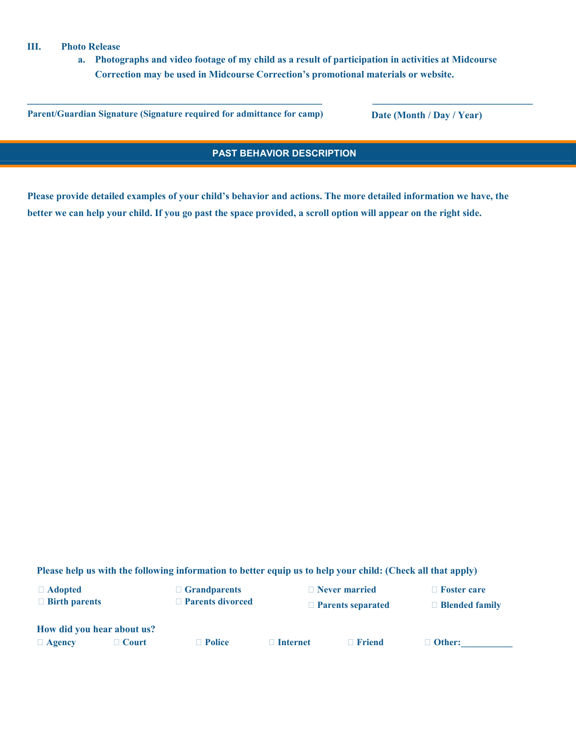#### III. Photo Release

a. Photographs and video footage of my child as a result of participation in activities at Midcourse Correction may be used in Midcourse Correction's promotional materials or website.

\_\_\_\_\_\_\_\_\_\_\_\_\_\_\_\_\_\_\_\_\_\_\_\_\_\_\_\_\_\_\_\_\_\_\_\_\_\_\_\_\_\_\_\_\_\_\_\_\_\_\_\_\_\_\_\_\_ \_\_\_\_\_\_\_\_\_\_\_\_\_\_\_\_\_\_\_\_\_\_\_\_\_\_\_\_\_\_\_

Parent/Guardian Signature (Signature required for admittance for camp) Date (Month / Day / Year)

### PAST BEHAVIOR DESCRIPTION

Please provide detailed examples of your child's behavior and actions. The more detailed information we have, the better we can help your child. If you go past the space provided, a scroll option will appear on the right side.

Please help us with the following information to better equip us to help your child: (Check all that apply)

Adopted

□ Birth parents

 Grandparents □ Parents divorced Never married

□ Foster care

Parents separated

□ Blended family

How did you hear about us?

Agency Court Police Internet Friend Other:\_\_\_\_\_\_\_\_\_\_\_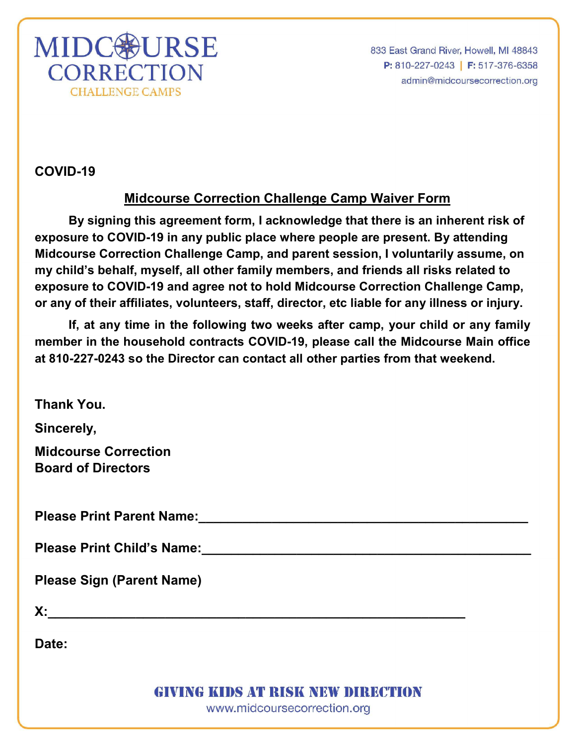

833 East Grand River, Howell, MI 48843 P: 810-227-0243 | F: 517-376-6358 admin@midcoursecorrection.org

COVID-19

# Midcourse Correction Challenge Camp Waiver Form

By signing this agreement form, I acknowledge that there is an inherent risk of exposure to COVID-19 in any public place where people are present. By attending Midcourse Correction Challenge Camp, and parent session, I voluntarily assume, on my child's behalf, myself, all other family members, and friends all risks related to exposure to COVID-19 and agree not to hold Midcourse Correction Challenge Camp, or any of their affiliates, volunteers, staff, director, etc liable for any illness or injury.

If, at any time in the following two weeks after camp, your child or any family member in the household contracts COVID-19, please call the Midcourse Main office at 810-227-0243 so the Director can contact all other parties from that weekend.

Thank You.

Sincerely,

Midcourse Correction Board of Directors

Please Print Parent Name: <u>Die als die seine verschieden verschieden verschieden verschieden verschieden versch</u>

Please Print Child's Name: <u>Discussion</u> Child's Name:

Please Sign (Parent Name)

 $X:$ 

Date:

**GIVING KIDS AT RISK NEW DIRECTION** 

www.midcoursecorrection.org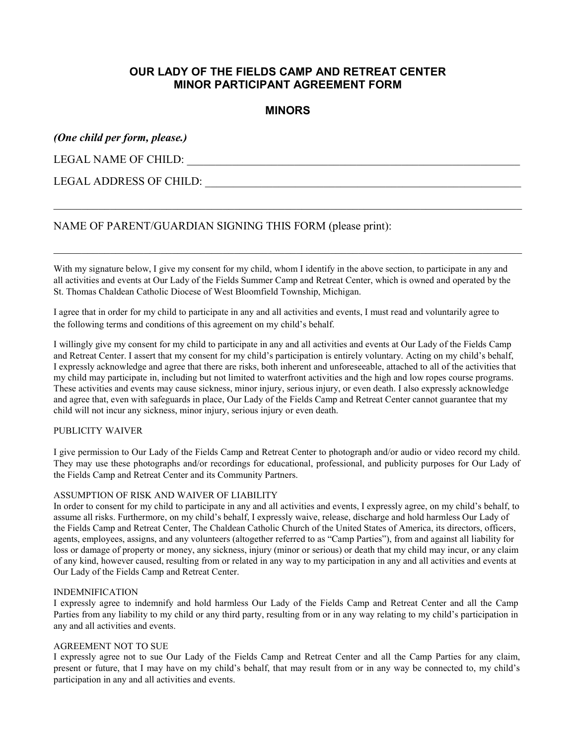### OUR LADY OF THE FIELDS CAMP AND RETREAT CENTER MINOR PARTICIPANT AGREEMENT FORM

### MINORS

\_\_\_\_\_\_\_\_\_\_\_\_\_\_\_\_\_\_\_\_\_\_\_\_\_\_\_\_\_\_\_\_\_\_\_\_\_\_\_\_\_\_\_\_\_\_\_\_\_\_\_\_\_\_\_\_\_\_\_\_\_\_\_\_\_\_\_\_\_\_\_\_\_\_\_\_\_\_\_\_\_\_\_

### (One child per form, please.)

LEGAL NAME OF CHILD: \_\_\_\_\_\_\_\_\_\_\_\_\_\_\_\_\_\_\_\_\_\_\_\_\_\_\_\_\_\_\_\_\_\_\_\_\_\_\_\_\_\_\_\_\_\_\_\_\_\_\_\_\_\_\_\_\_\_\_

### LEGAL ADDRESS OF CHILD:

### NAME OF PARENT/GUARDIAN SIGNING THIS FORM (please print):

With my signature below, I give my consent for my child, whom I identify in the above section, to participate in any and all activities and events at Our Lady of the Fields Summer Camp and Retreat Center, which is owned and operated by the St. Thomas Chaldean Catholic Diocese of West Bloomfield Township, Michigan.

I agree that in order for my child to participate in any and all activities and events, I must read and voluntarily agree to the following terms and conditions of this agreement on my child's behalf.

I willingly give my consent for my child to participate in any and all activities and events at Our Lady of the Fields Camp and Retreat Center. I assert that my consent for my child's participation is entirely voluntary. Acting on my child's behalf, I expressly acknowledge and agree that there are risks, both inherent and unforeseeable, attached to all of the activities that my child may participate in, including but not limited to waterfront activities and the high and low ropes course programs. These activities and events may cause sickness, minor injury, serious injury, or even death. I also expressly acknowledge and agree that, even with safeguards in place, Our Lady of the Fields Camp and Retreat Center cannot guarantee that my child will not incur any sickness, minor injury, serious injury or even death.

#### PUBLICITY WAIVER

I give permission to Our Lady of the Fields Camp and Retreat Center to photograph and/or audio or video record my child. They may use these photographs and/or recordings for educational, professional, and publicity purposes for Our Lady of the Fields Camp and Retreat Center and its Community Partners.

#### ASSUMPTION OF RISK AND WAIVER OF LIABILITY

In order to consent for my child to participate in any and all activities and events, I expressly agree, on my child's behalf, to assume all risks. Furthermore, on my child's behalf, I expressly waive, release, discharge and hold harmless Our Lady of the Fields Camp and Retreat Center, The Chaldean Catholic Church of the United States of America, its directors, officers, agents, employees, assigns, and any volunteers (altogether referred to as "Camp Parties"), from and against all liability for loss or damage of property or money, any sickness, injury (minor or serious) or death that my child may incur, or any claim of any kind, however caused, resulting from or related in any way to my participation in any and all activities and events at Our Lady of the Fields Camp and Retreat Center.

#### INDEMNIFICATION

I expressly agree to indemnify and hold harmless Our Lady of the Fields Camp and Retreat Center and all the Camp Parties from any liability to my child or any third party, resulting from or in any way relating to my child's participation in any and all activities and events.

#### AGREEMENT NOT TO SUE

I expressly agree not to sue Our Lady of the Fields Camp and Retreat Center and all the Camp Parties for any claim, present or future, that I may have on my child's behalf, that may result from or in any way be connected to, my child's participation in any and all activities and events.